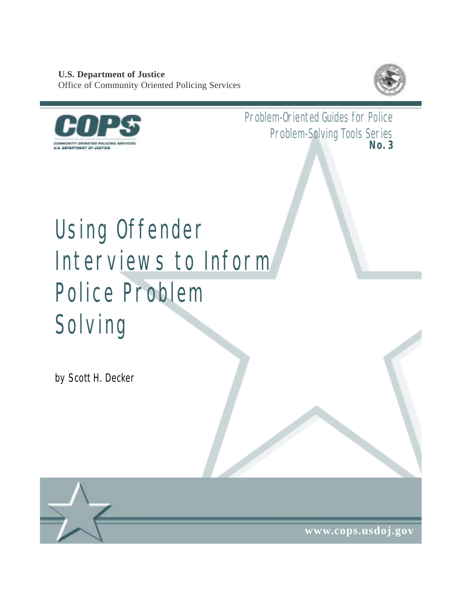



Problem-Oriented Guides for Police Problem-Solving Tools Series **No. 3** 

# Using Offender Interviews to Inform Police Problem Solving

by Scott H. Decker

**www.cops.usdoj.gov**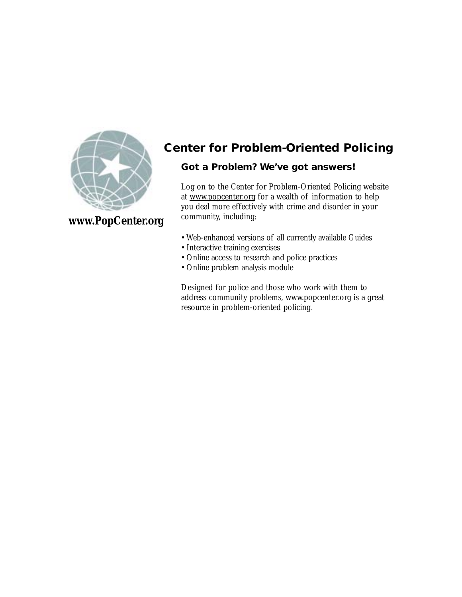

**www.PopCenter.org**

### **Center for Problem-Oriented Policing**

#### **Got a Problem? We've got answers!**

Log on to the Center for Problem-Oriented Policing website at www.popcenter.org for a wealth of information to help you deal more effectively with crime and disorder in your community, including:

- Web-enhanced versions of all currently available Guides
- Interactive training exercises
- Online access to research and police practices
- Online problem analysis module

Designed for police and those who work with them to address community problems, www.popcenter.org is a great resource in problem-oriented policing.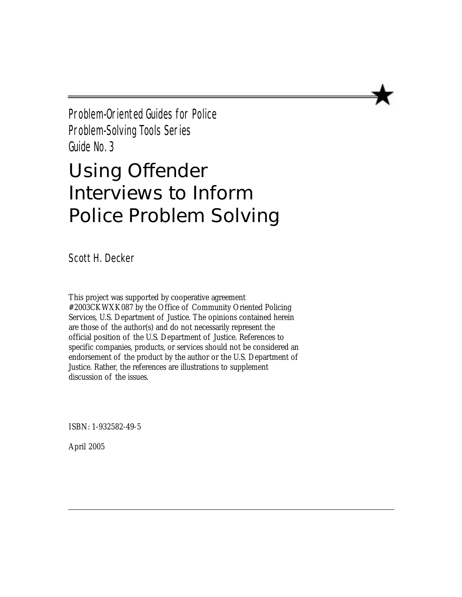Problem-Oriented Guides for Police Problem-Solving Tools Series Guide No. 3

## Using Offender Interviews to Inform Police Problem Solving

Scott H. Decker

This project was supported by cooperative agreement #2003CKWXK087 by the Office of Community Oriented Policing Services, U.S. Department of Justice. The opinions contained herein are those of the author(s) and do not necessarily represent the official position of the U.S. Department of Justice. References to specific companies, products, or services should not be considered an endorsement of the product by the author or the U.S. Department of Justice. Rather, the references are illustrations to supplement discussion of the issues.

ISBN: 1-932582-49-5

April 2005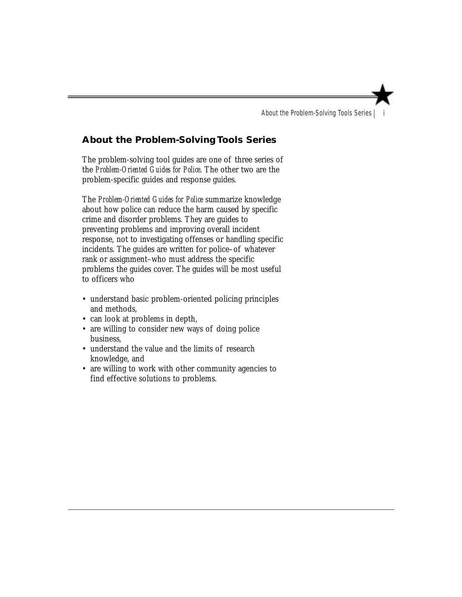#### **About the Problem-Solving Tools Series**

The problem-solving tool guides are one of three series of the *Problem-Oriented Guides for Police*. The other two are the problem-specific guides and response guides.

The *Problem-Oriented Guides for Police* summarize knowledge about how police can reduce the harm caused by specific crime and disorder problems. They are guides to preventing problems and improving overall incident response, not to investigating offenses or handling specific incidents. The guides are written for police–of whatever rank or assignment–who must address the specific problems the guides cover. The guides will be most useful to officers who

- understand basic problem-oriented policing principles and methods,
- can look at problems in depth,
- are willing to consider new ways of doing police business,
- understand the value and the limits of research knowledge, and
- are willing to work with other community agencies to find effective solutions to problems.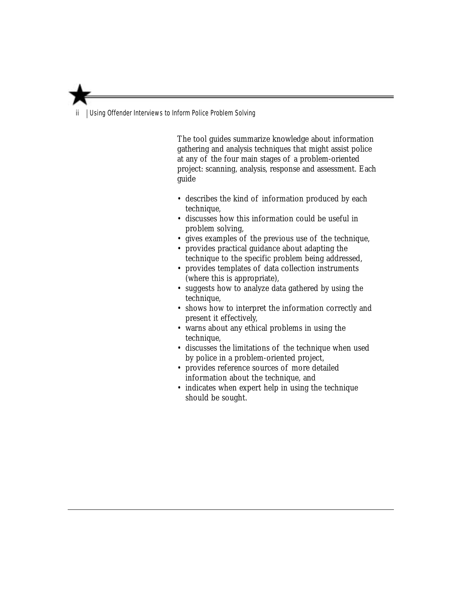The tool guides summarize knowledge about information gathering and analysis techniques that might assist police at any of the four main stages of a problem-oriented project: scanning, analysis, response and assessment. Each guide

- describes the kind of information produced by each technique.
- discusses how this information could be useful in problem solving,
- gives examples of the previous use of the technique,
- provides practical guidance about adapting the technique to the specific problem being addressed,
- provides templates of data collection instruments (where this is appropriate),
- suggests how to analyze data gathered by using the technique,
- shows how to interpret the information correctly and present it effectively,
- • warns about any ethical problems in using the technique,
- discusses the limitations of the technique when used by police in a problem-oriented project,
- provides reference sources of more detailed information about the technique, and
- indicates when expert help in using the technique should be sought.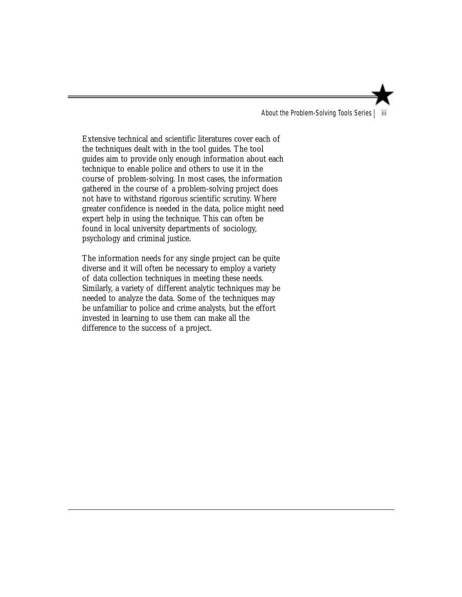About the Problem-Solving Tools Series | iii

Extensive technical and scientific literatures cover each of the techniques dealt with in the tool guides. The tool guides aim to provide only enough information about each technique to enable police and others to use it in the course of problem-solving. In most cases, the information gathered in the course of a problem-solving project does not have to withstand rigorous scientific scrutiny. Where greater confidence is needed in the data, police might need expert help in using the technique. This can often be found in local university departments of sociology, psychology and criminal justice.

The information needs for any single project can be quite diverse and it will often be necessary to employ a variety of data collection techniques in meeting these needs. Similarly, a variety of different analytic techniques may be needed to analyze the data. Some of the techniques may be unfamiliar to police and crime analysts, but the effort invested in learning to use them can make all the difference to the success of a project.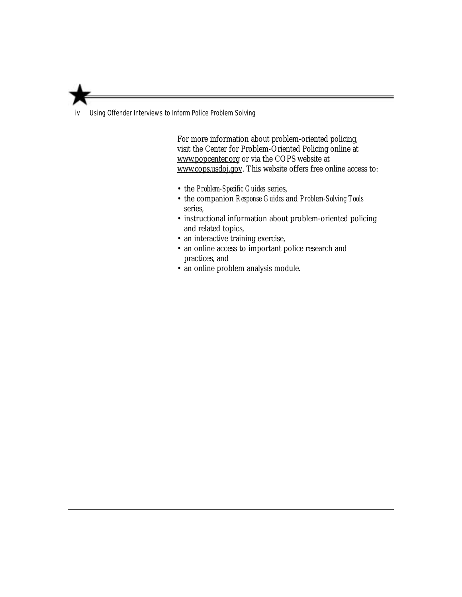For more information about problem-oriented policing, visit the Center for Problem-Oriented Policing online at www.popcenter.org or via the COPS website at www.cops.usdoj.gov. This website offers free online access to:

- the *Problem-Specific Guides* series,
- the companion *Response Guides* and *Problem-Solving Tools*  series,
- instructional information about problem-oriented policing and related topics,
- an interactive training exercise,
- an online access to important police research and practices, and
- an online problem analysis module.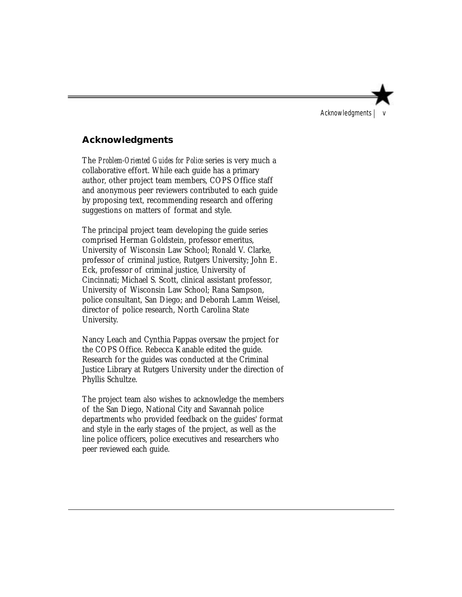Acknowledgments |

#### **Acknowledgments**

The *Problem-Oriented Guides for Police* series is very much a collaborative effort. While each guide has a primary author, other project team members, COPS Office staff and anonymous peer reviewers contributed to each guide by proposing text, recommending research and offering suggestions on matters of format and style.

The principal project team developing the guide series comprised Herman Goldstein, professor emeritus, University of Wisconsin Law School; Ronald V. Clarke, professor of criminal justice, Rutgers University; John E. Eck, professor of criminal justice, University of Cincinnati; Michael S. Scott, clinical assistant professor, University of Wisconsin Law School; Rana Sampson, police consultant, San Diego; and Deborah Lamm Weisel, director of police research, North Carolina State University.

Nancy Leach and Cynthia Pappas oversaw the project for the COPS Office. Rebecca Kanable edited the guide. Research for the guides was conducted at the Criminal Justice Library at Rutgers University under the direction of Phyllis Schultze.

The project team also wishes to acknowledge the members of the San Diego, National City and Savannah police departments who provided feedback on the guides' format and style in the early stages of the project, as well as the line police officers, police executives and researchers who peer reviewed each guide.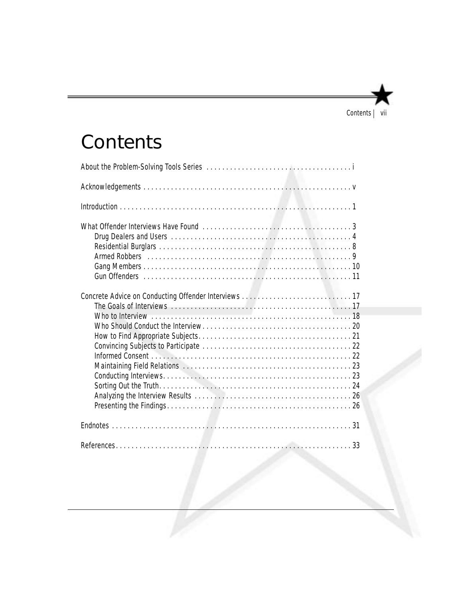Contents | vii

### **Contents**

| Gun Offenders (and all and all and all and all and all and all and all and all and all and all and all and all |
|----------------------------------------------------------------------------------------------------------------|
|                                                                                                                |
|                                                                                                                |
|                                                                                                                |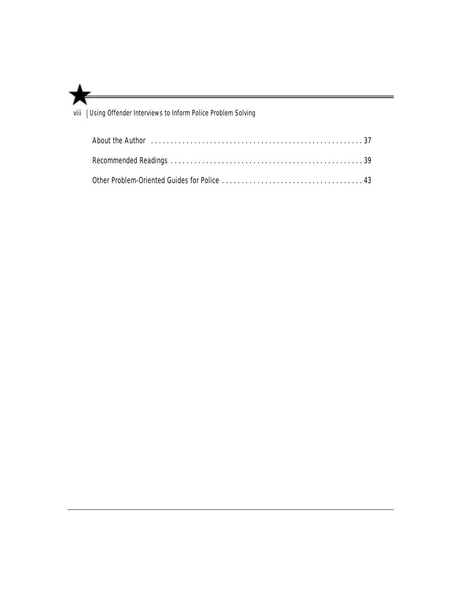| About the Author experience is a series of the contract of the contract of the contract of the contract of the contract of the contract of the contract of the contract of the contract of the contract of the contract of the |  |
|--------------------------------------------------------------------------------------------------------------------------------------------------------------------------------------------------------------------------------|--|
|                                                                                                                                                                                                                                |  |
|                                                                                                                                                                                                                                |  |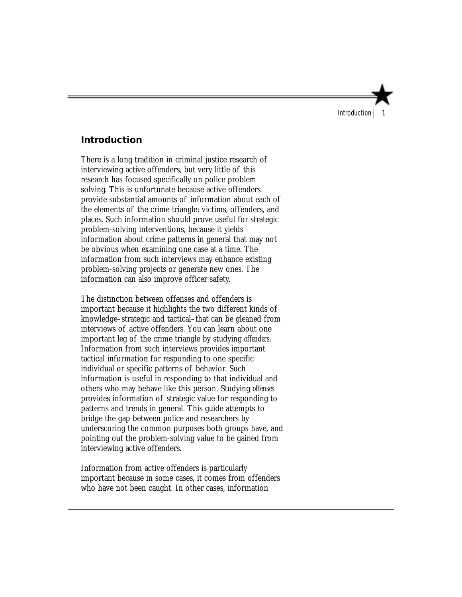Introduction |

#### **Introduction**

There is a long tradition in criminal justice research of interviewing active offenders, but very little of this research has focused specifically on police problem solving. This is unfortunate because active offenders provide substantial amounts of information about each of the elements of the crime triangle: victims, offenders, and places. Such information should prove useful for strategic problem-solving interventions, because it yields information about crime patterns in general that may not be obvious when examining one case at a time. The information from such interviews may enhance existing problem-solving projects or generate new ones. The information can also improve officer safety.

The distinction between offenses and offenders is important because it highlights the two different kinds of knowledge–strategic and tactical–that can be gleaned from interviews of active offenders. You can learn about one important leg of the crime triangle by studying *offenders*. Information from such interviews provides important tactical information for responding to one specific individual or specific patterns of behavior. Such information is useful in responding to that individual and others who may behave like this person. Studying *offenses*  provides information of strategic value for responding to patterns and trends in general. This guide attempts to bridge the gap between police and researchers by underscoring the common purposes both groups have, and pointing out the problem-solving value to be gained from interviewing active offenders.

Information from active offenders is particularly important because in some cases, it comes from offenders who have not been caught. In other cases, information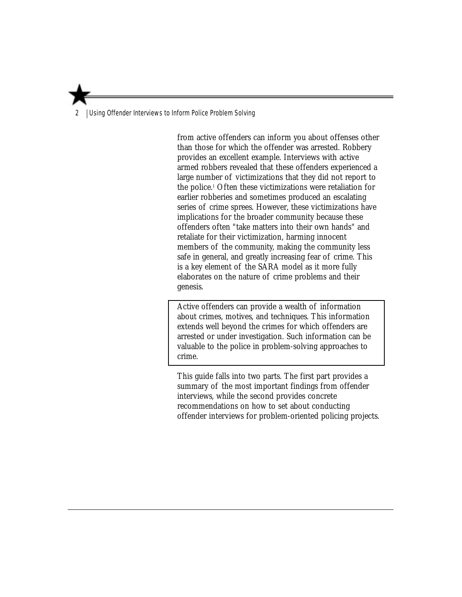from active offenders can inform you about offenses other than those for which the offender was arrested. Robbery provides an excellent example. Interviews with active armed robbers revealed that these offenders experienced a large number of victimizations that they did not report to the police.1 Often these victimizations were retaliation for earlier robberies and sometimes produced an escalating series of crime sprees. However, these victimizations have implications for the broader community because these offenders often "take matters into their own hands" and retaliate for their victimization, harming innocent members of the community, making the community less safe in general, and greatly increasing fear of crime. This is a key element of the SARA model as it more fully elaborates on the nature of crime problems and their genesis.

Active offenders can provide a wealth of information about crimes, motives, and techniques. This information extends well beyond the crimes for which offenders are arrested or under investigation. Such information can be valuable to the police in problem-solving approaches to crime.

This guide falls into two parts. The first part provides a summary of the most important findings from offender interviews, while the second provides concrete recommendations on how to set about conducting offender interviews for problem-oriented policing projects.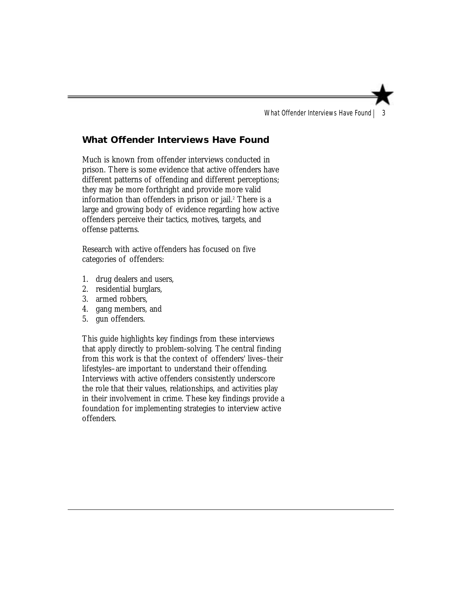What Offender Interviews Have Found | 3

#### **What Offender Interviews Have Found**

Much is known from offender interviews conducted in prison. There is some evidence that active offenders have different patterns of offending and different perceptions; they may be more forthright and provide more valid information than offenders in prison or jail.<sup>2</sup> There is a large and growing body of evidence regarding how active offenders perceive their tactics, motives, targets, and offense patterns.

Research with active offenders has focused on five categories of offenders:

- 1. drug dealers and users,
- 2. residential burglars,
- 3. armed robbers,
- 4. gang members, and
- 5. gun offenders.

This guide highlights key findings from these interviews that apply directly to problem-solving. The central finding from this work is that the context of offenders' lives–their lifestyles–are important to understand their offending. Interviews with active offenders consistently underscore the role that their values, relationships, and activities play in their involvement in crime. These key findings provide a foundation for implementing strategies to interview active offenders.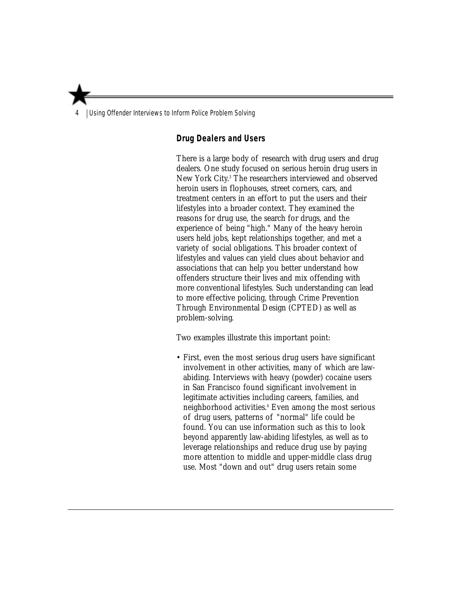#### **Drug Dealers and Users**

There is a large body of research with drug users and drug dealers. One study focused on serious heroin drug users in New York City.3 The researchers interviewed and observed heroin users in flophouses, street corners, cars, and treatment centers in an effort to put the users and their lifestyles into a broader context. They examined the reasons for drug use, the search for drugs, and the experience of being "high." Many of the heavy heroin users held jobs, kept relationships together, and met a variety of social obligations. This broader context of lifestyles and values can yield clues about behavior and associations that can help you better understand how offenders structure their lives and mix offending with more conventional lifestyles. Such understanding can lead to more effective policing, through Crime Prevention Through Environmental Design (CPTED) as well as problem-solving.

Two examples illustrate this important point:

• First, even the most serious drug users have significant involvement in other activities, many of which are lawabiding. Interviews with heavy (powder) cocaine users in San Francisco found significant involvement in legitimate activities including careers, families, and neighborhood activities.4 Even among the most serious of drug users, patterns of "normal" life could be found. You can use information such as this to look beyond apparently law-abiding lifestyles, as well as to leverage relationships and reduce drug use by paying more attention to middle and upper-middle class drug use. Most "down and out" drug users retain some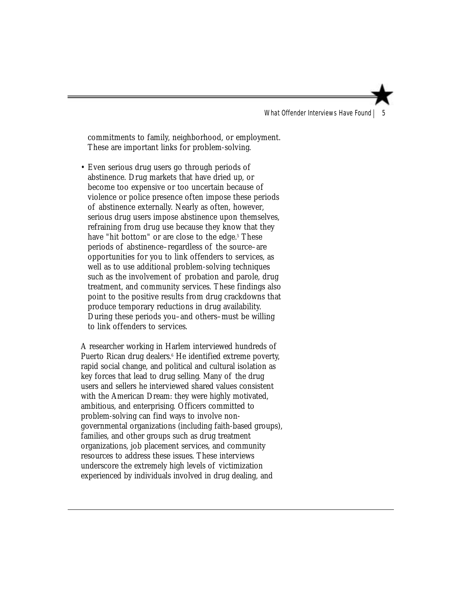What Offender Interviews Have Found | 5

commitments to family, neighborhood, or employment. These are important links for problem-solving.

• Even serious drug users go through periods of abstinence. Drug markets that have dried up, or become too expensive or too uncertain because of violence or police presence often impose these periods of abstinence externally. Nearly as often, however, serious drug users impose abstinence upon themselves, refraining from drug use because they know that they have "hit bottom" or are close to the edge.<sup>5</sup> These periods of abstinence–regardless of the source–are opportunities for you to link offenders to services, as well as to use additional problem-solving techniques such as the involvement of probation and parole, drug treatment, and community services. These findings also point to the positive results from drug crackdowns that produce temporary reductions in drug availability. During these periods you–and others–must be willing to link offenders to services.

A researcher working in Harlem interviewed hundreds of Puerto Rican drug dealers.<sup>6</sup> He identified extreme poverty, rapid social change, and political and cultural isolation as key forces that lead to drug selling. Many of the drug users and sellers he interviewed shared values consistent with the American Dream: they were highly motivated, ambitious, and enterprising. Officers committed to problem-solving can find ways to involve nongovernmental organizations (including faith-based groups), families, and other groups such as drug treatment organizations, job placement services, and community resources to address these issues. These interviews underscore the extremely high levels of victimization experienced by individuals involved in drug dealing, and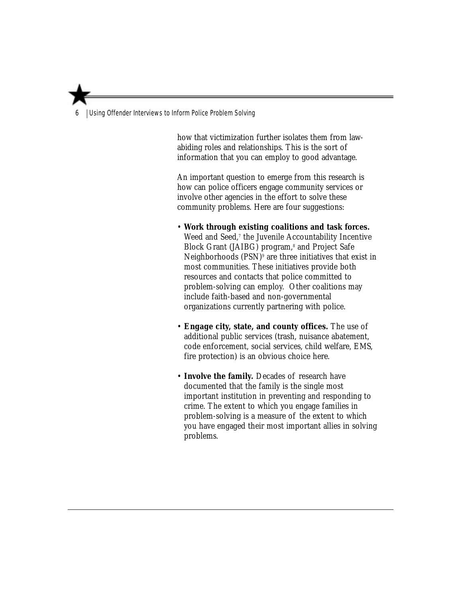how that victimization further isolates them from lawabiding roles and relationships. This is the sort of information that you can employ to good advantage.

An important question to emerge from this research is how can police officers engage community services or involve other agencies in the effort to solve these community problems. Here are four suggestions:

- • **Work through existing coalitions and task forces.**  Weed and Seed,<sup>7</sup> the Juvenile Accountability Incentive Block Grant (JAIBG) program,<sup>8</sup> and Project Safe Neighborhoods  $(PSN)^9$  are three initiatives that exist in most communities. These initiatives provide both resources and contacts that police committed to problem-solving can employ. Other coalitions may include faith-based and non-governmental organizations currently partnering with police.
- • **Engage city, state, and county offices.** The use of additional public services (trash, nuisance abatement, code enforcement, social services, child welfare, EMS, fire protection) is an obvious choice here.
- • **Involve the family.** Decades of research have documented that the family is the single most important institution in preventing and responding to crime. The extent to which you engage families in problem-solving is a measure of the extent to which you have engaged their most important allies in solving problems.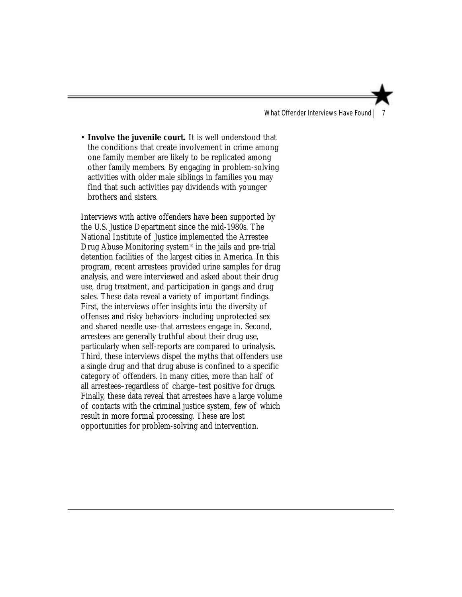What Offender Interviews Have Found | 7

• Involve the juvenile court. It is well understood that the conditions that create involvement in crime among one family member are likely to be replicated among other family members. By engaging in problem-solving activities with older male siblings in families you may find that such activities pay dividends with younger brothers and sisters.

Interviews with active offenders have been supported by the U.S. Justice Department since the mid-1980s. The National Institute of Justice implemented the Arrestee Drug Abuse Monitoring system<sup>10</sup> in the jails and pre-trial detention facilities of the largest cities in America. In this program, recent arrestees provided urine samples for drug analysis, and were interviewed and asked about their drug use, drug treatment, and participation in gangs and drug sales. These data reveal a variety of important findings. First, the interviews offer insights into the diversity of offenses and risky behaviors–including unprotected sex and shared needle use–that arrestees engage in. Second, arrestees are generally truthful about their drug use, particularly when self-reports are compared to urinalysis. Third, these interviews dispel the myths that offenders use a single drug and that drug abuse is confined to a specific category of offenders. In many cities, more than half of all arrestees–regardless of charge–test positive for drugs. Finally, these data reveal that arrestees have a large volume of contacts with the criminal justice system, few of which result in more formal processing. These are lost opportunities for problem-solving and intervention.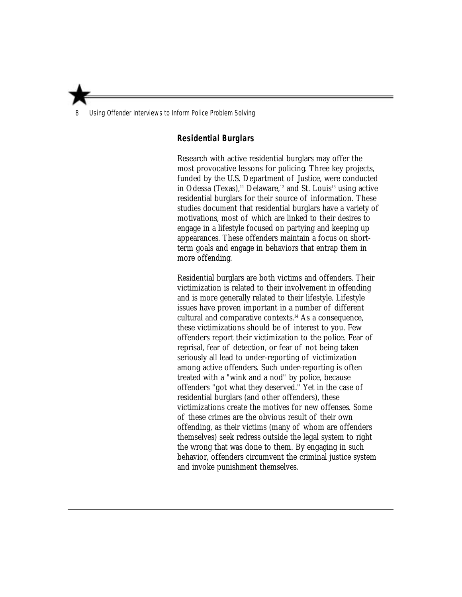#### **Residential Burglars**

Research with active residential burglars may offer the most provocative lessons for policing. Three key projects, funded by the U.S. Department of Justice, were conducted in Odessa (Texas),<sup>11</sup> Delaware,<sup>12</sup> and St. Louis<sup>13</sup> using active residential burglars for their source of information. These studies document that residential burglars have a variety of motivations, most of which are linked to their desires to engage in a lifestyle focused on partying and keeping up appearances. These offenders maintain a focus on shortterm goals and engage in behaviors that entrap them in more offending.

Residential burglars are both victims and offenders. Their victimization is related to their involvement in offending and is more generally related to their lifestyle. Lifestyle issues have proven important in a number of different cultural and comparative contexts.14 As a consequence, these victimizations should be of interest to you. Few offenders report their victimization to the police. Fear of reprisal, fear of detection, or fear of not being taken seriously all lead to under-reporting of victimization among active offenders. Such under-reporting is often treated with a "wink and a nod" by police, because offenders "got what they deserved." Yet in the case of residential burglars (and other offenders), these victimizations create the motives for new offenses. Some of these crimes are the obvious result of their own offending, as their victims (many of whom are offenders themselves) seek redress outside the legal system to right the wrong that was done to them. By engaging in such behavior, offenders circumvent the criminal justice system and invoke punishment themselves.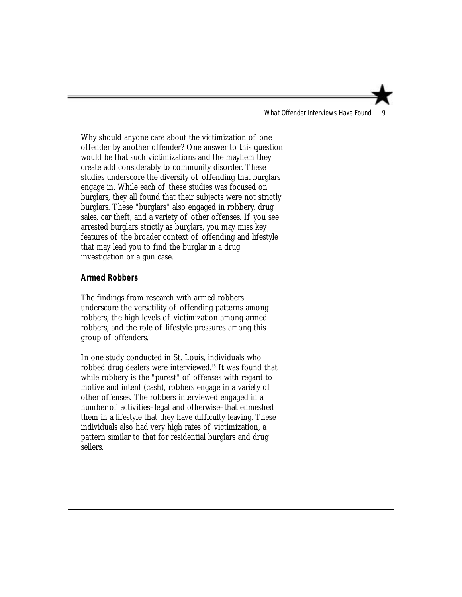What Offender Interviews Have Found |

Why should anyone care about the victimization of one offender by another offender? One answer to this question would be that such victimizations and the mayhem they create add considerably to community disorder. These studies underscore the diversity of offending that burglars engage in. While each of these studies was focused on burglars, they all found that their subjects were not strictly burglars. These "burglars" also engaged in robbery, drug sales, car theft, and a variety of other offenses. If you see arrested burglars strictly as burglars, you may miss key features of the broader context of offending and lifestyle that may lead you to find the burglar in a drug investigation or a gun case.

#### **Armed Robbers**

The findings from research with armed robbers underscore the versatility of offending patterns among robbers, the high levels of victimization among armed robbers, and the role of lifestyle pressures among this group of offenders.

In one study conducted in St. Louis, individuals who robbed drug dealers were interviewed.15 It was found that while robbery is the "purest" of offenses with regard to motive and intent (cash), robbers engage in a variety of other offenses. The robbers interviewed engaged in a number of activities–legal and otherwise–that enmeshed them in a lifestyle that they have difficulty leaving. These individuals also had very high rates of victimization, a pattern similar to that for residential burglars and drug sellers.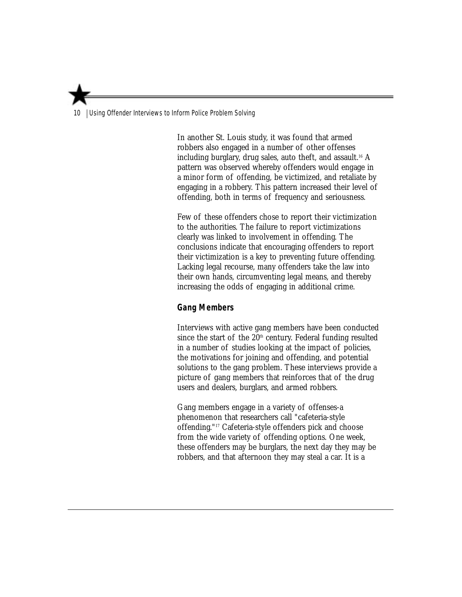In another St. Louis study, it was found that armed robbers also engaged in a number of other offenses including burglary, drug sales, auto theft, and assault.16 A pattern was observed whereby offenders would engage in a minor form of offending, be victimized, and retaliate by engaging in a robbery. This pattern increased their level of offending, both in terms of frequency and seriousness.

Few of these offenders chose to report their victimization to the authorities. The failure to report victimizations clearly was linked to involvement in offending. The conclusions indicate that encouraging offenders to report their victimization is a key to preventing future offending. Lacking legal recourse, many offenders take the law into their own hands, circumventing legal means, and thereby increasing the odds of engaging in additional crime.

#### **Gang Members**

Interviews with active gang members have been conducted since the start of the  $20<sup>th</sup>$  century. Federal funding resulted in a number of studies looking at the impact of policies, the motivations for joining and offending, and potential solutions to the gang problem. These interviews provide a picture of gang members that reinforces that of the drug users and dealers, burglars, and armed robbers.

Gang members engage in a variety of offenses-a phenomenon that researchers call "cafeteria-style offending."17 Cafeteria-style offenders pick and choose from the wide variety of offending options. One week, these offenders may be burglars, the next day they may be robbers, and that afternoon they may steal a car. It is a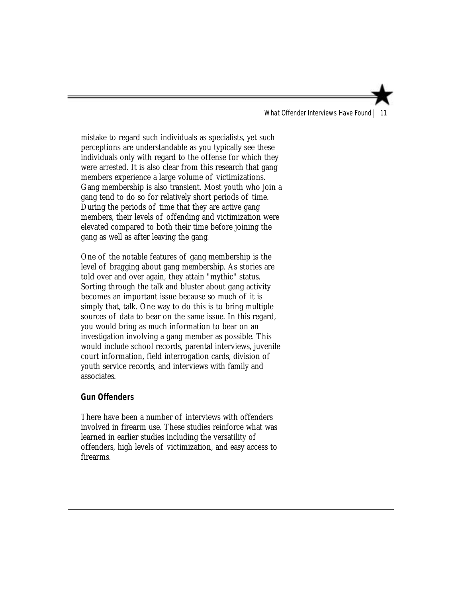What Offender Interviews Have Found | 11

mistake to regard such individuals as specialists, yet such perceptions are understandable as you typically see these individuals only with regard to the offense for which they were arrested. It is also clear from this research that gang members experience a large volume of victimizations. Gang membership is also transient. Most youth who join a gang tend to do so for relatively short periods of time. During the periods of time that they are active gang members, their levels of offending and victimization were elevated compared to both their time before joining the gang as well as after leaving the gang.

One of the notable features of gang membership is the level of bragging about gang membership. As stories are told over and over again, they attain "mythic" status. Sorting through the talk and bluster about gang activity becomes an important issue because so much of it is simply that, talk. One way to do this is to bring multiple sources of data to bear on the same issue. In this regard, you would bring as much information to bear on an investigation involving a gang member as possible. This would include school records, parental interviews, juvenile court information, field interrogation cards, division of youth service records, and interviews with family and associates.

#### **Gun Offenders**

There have been a number of interviews with offenders involved in firearm use. These studies reinforce what was learned in earlier studies including the versatility of offenders, high levels of victimization, and easy access to firearms.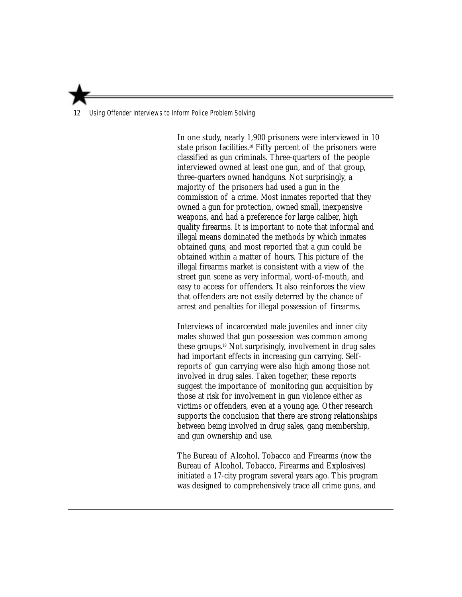In one study, nearly 1,900 prisoners were interviewed in 10 state prison facilities.<sup>18</sup> Fifty percent of the prisoners were classified as gun criminals. Three-quarters of the people interviewed owned at least one gun, and of that group, three-quarters owned handguns. Not surprisingly, a majority of the prisoners had used a gun in the commission of a crime. Most inmates reported that they owned a gun for protection, owned small, inexpensive weapons, and had a preference for large caliber, high quality firearms. It is important to note that informal and illegal means dominated the methods by which inmates obtained guns, and most reported that a gun could be obtained within a matter of hours. This picture of the illegal firearms market is consistent with a view of the street gun scene as very informal, word-of-mouth, and easy to access for offenders. It also reinforces the view that offenders are not easily deterred by the chance of arrest and penalties for illegal possession of firearms.

Interviews of incarcerated male juveniles and inner city males showed that gun possession was common among these groups.19 Not surprisingly, involvement in drug sales had important effects in increasing gun carrying. Selfreports of gun carrying were also high among those not involved in drug sales. Taken together, these reports suggest the importance of monitoring gun acquisition by those at risk for involvement in gun violence either as victims or offenders, even at a young age. Other research supports the conclusion that there are strong relationships between being involved in drug sales, gang membership, and gun ownership and use.

The Bureau of Alcohol, Tobacco and Firearms (now the Bureau of Alcohol, Tobacco, Firearms and Explosives) initiated a 17-city program several years ago. This program was designed to comprehensively trace all crime guns, and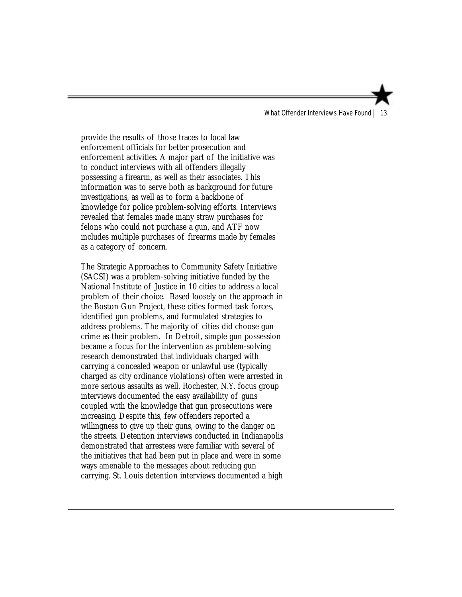What Offender Interviews Have Found | 13

provide the results of those traces to local law enforcement officials for better prosecution and enforcement activities. A major part of the initiative was to conduct interviews with all offenders illegally possessing a firearm, as well as their associates. This information was to serve both as background for future investigations, as well as to form a backbone of knowledge for police problem-solving efforts. Interviews revealed that females made many straw purchases for felons who could not purchase a gun, and ATF now includes multiple purchases of firearms made by females as a category of concern.

The Strategic Approaches to Community Safety Initiative (SACSI) was a problem-solving initiative funded by the National Institute of Justice in 10 cities to address a local problem of their choice. Based loosely on the approach in the Boston Gun Project, these cities formed task forces, identified gun problems, and formulated strategies to address problems. The majority of cities did choose gun crime as their problem. In Detroit, simple gun possession became a focus for the intervention as problem-solving research demonstrated that individuals charged with carrying a concealed weapon or unlawful use (typically charged as city ordinance violations) often were arrested in more serious assaults as well. Rochester, N.Y. focus group interviews documented the easy availability of guns coupled with the knowledge that gun prosecutions were increasing. Despite this, few offenders reported a willingness to give up their guns, owing to the danger on the streets. Detention interviews conducted in Indianapolis demonstrated that arrestees were familiar with several of the initiatives that had been put in place and were in some ways amenable to the messages about reducing gun carrying. St. Louis detention interviews documented a high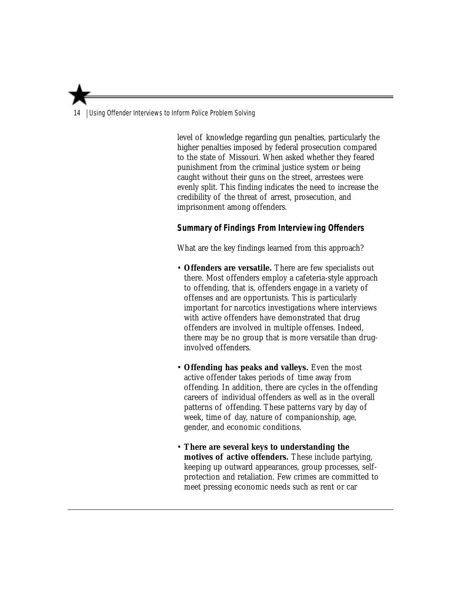level of knowledge regarding gun penalties, particularly the higher penalties imposed by federal prosecution compared to the state of Missouri. When asked whether they feared punishment from the criminal justice system or being caught without their guns on the street, arrestees were evenly split. This finding indicates the need to increase the credibility of the threat of arrest, prosecution, and imprisonment among offenders.

#### **Summary of Findings From Interviewing Offenders**

What are the key findings learned from this approach?

- • **Offenders are versatile.** There are few specialists out there. Most offenders employ a cafeteria-style approach to offending, that is, offenders engage in a variety of offenses and are opportunists. This is particularly important for narcotics investigations where interviews with active offenders have demonstrated that drug offenders are involved in multiple offenses. Indeed, there may be no group that is more versatile than druginvolved offenders.
- • **Offending has peaks and valleys.** Even the most active offender takes periods of time away from offending. In addition, there are cycles in the offending careers of individual offenders as well as in the overall patterns of offending. These patterns vary by day of week, time of day, nature of companionship, age, gender, and economic conditions.
- • **There are several keys to understanding the motives of active offenders.** These include partying, keeping up outward appearances, group processes, selfprotection and retaliation. Few crimes are committed to meet pressing economic needs such as rent or car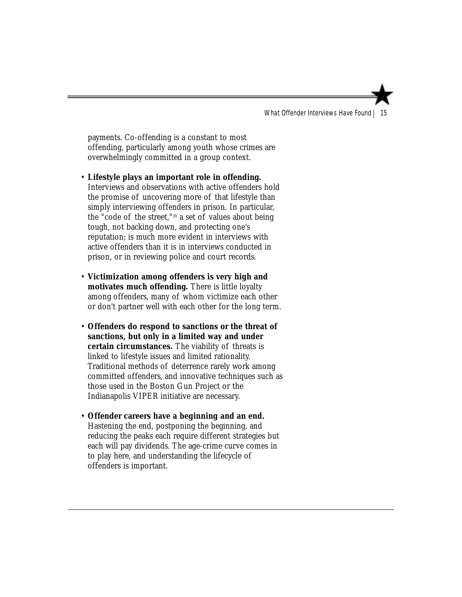What Offender Interviews Have Found | 15

payments. Co-offending is a constant to most offending, particularly among youth whose crimes are overwhelmingly committed in a group context.

• **Lifestyle plays an important role in offending.**  Interviews and observations with active offenders hold the promise of uncovering more of that lifestyle than simply interviewing offenders in prison. In particular, the "code of the street,"20 a set of values about being tough, not backing down, and protecting one's reputation; is much more evident in interviews with active offenders than it is in interviews conducted in prison, or in reviewing police and court records.

- • **Victimization among offenders is very high and motivates much offending.** There is little loyalty among offenders, many of whom victimize each other or don't partner well with each other for the long term.
- • **Offenders do respond to sanctions or the threat of sanctions, but only in a limited way and under certain circumstances.** The viability of threats is linked to lifestyle issues and limited rationality. Traditional methods of deterrence rarely work among committed offenders, and innovative techniques such as those used in the Boston Gun Project or the Indianapolis VIPER initiative are necessary.
- • **Offender careers have a beginning and an end.**  Hastening the end, postponing the beginning, and reducing the peaks each require different strategies but each will pay dividends. The age-crime curve comes in to play here, and understanding the lifecycle of offenders is important.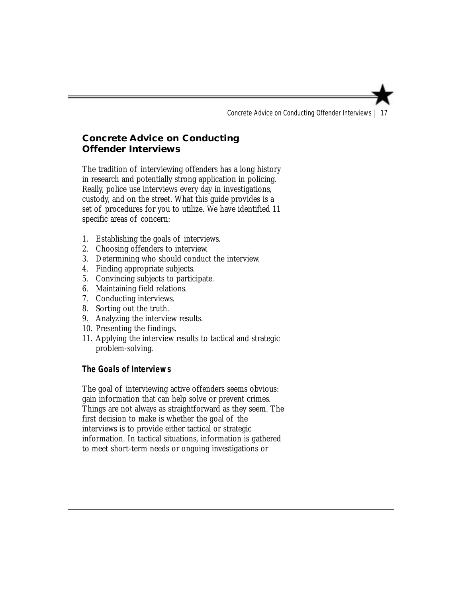Concrete Advice on Conducting Offender Interviews | 17

#### **Concrete Advice on Conducting Offender Interviews**

The tradition of interviewing offenders has a long history in research and potentially strong application in policing. Really, police use interviews every day in investigations, custody, and on the street. What this guide provides is a set of procedures for you to utilize. We have identified 11 specific areas of concern:

- 1. Establishing the goals of interviews.
- 2. Choosing offenders to interview.
- 3. Determining who should conduct the interview.
- 4. Finding appropriate subjects.
- 5. Convincing subjects to participate.
- 6. Maintaining field relations.
- 7. Conducting interviews.
- 8. Sorting out the truth.
- 9. Analyzing the interview results.
- 10. Presenting the findings.
- 11. Applying the interview results to tactical and strategic problem-solving.

#### **The Goals of Interviews**

The goal of interviewing active offenders seems obvious: gain information that can help solve or prevent crimes. Things are not always as straightforward as they seem. The first decision to make is whether the goal of the interviews is to provide either tactical or strategic information. In tactical situations, information is gathered to meet short-term needs or ongoing investigations or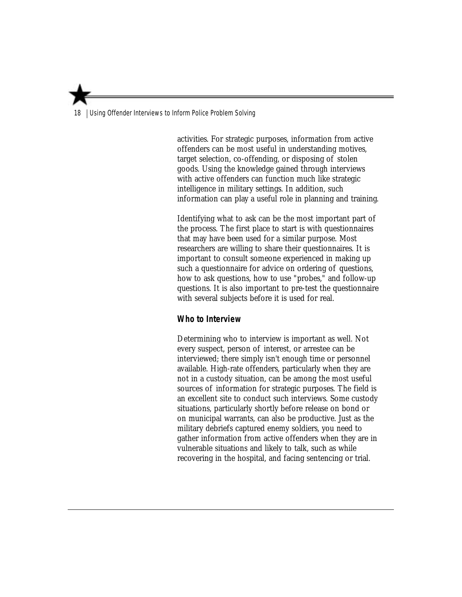activities. For strategic purposes, information from active offenders can be most useful in understanding motives, target selection, co-offending, or disposing of stolen goods. Using the knowledge gained through interviews with active offenders can function much like strategic intelligence in military settings. In addition, such information can play a useful role in planning and training.

Identifying what to ask can be the most important part of the process. The first place to start is with questionnaires that may have been used for a similar purpose. Most researchers are willing to share their questionnaires. It is important to consult someone experienced in making up such a questionnaire for advice on ordering of questions, how to ask questions, how to use "probes," and follow-up questions. It is also important to pre-test the questionnaire with several subjects before it is used for real.

#### **Who to Interview**

Determining who to interview is important as well. Not every suspect, person of interest, or arrestee can be interviewed; there simply isn't enough time or personnel available. High-rate offenders, particularly when they are not in a custody situation, can be among the most useful sources of information for strategic purposes. The field is an excellent site to conduct such interviews. Some custody situations, particularly shortly before release on bond or on municipal warrants, can also be productive. Just as the military debriefs captured enemy soldiers, you need to gather information from active offenders when they are in vulnerable situations and likely to talk, such as while recovering in the hospital, and facing sentencing or trial.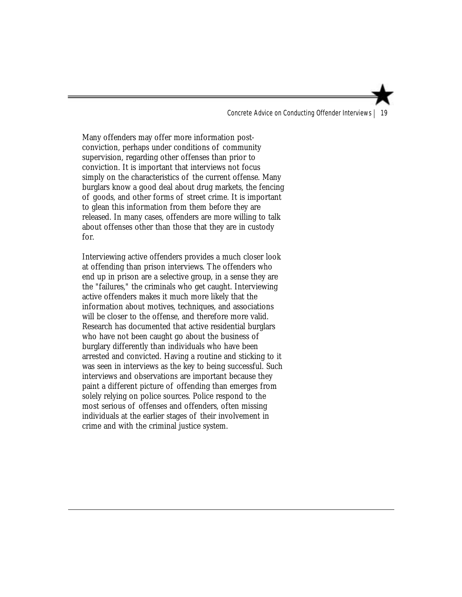Concrete Advice on Conducting Offender Interviews |

Many offenders may offer more information postconviction, perhaps under conditions of community supervision, regarding other offenses than prior to conviction. It is important that interviews not focus simply on the characteristics of the current offense. Many burglars know a good deal about drug markets, the fencing of goods, and other forms of street crime. It is important to glean this information from them before they are released. In many cases, offenders are more willing to talk about offenses other than those that they are in custody for.

Interviewing active offenders provides a much closer look at offending than prison interviews. The offenders who end up in prison are a selective group, in a sense they are the "failures," the criminals who get caught. Interviewing active offenders makes it much more likely that the information about motives, techniques, and associations will be closer to the offense, and therefore more valid. Research has documented that active residential burglars who have not been caught go about the business of burglary differently than individuals who have been arrested and convicted. Having a routine and sticking to it was seen in interviews as the key to being successful. Such interviews and observations are important because they paint a different picture of offending than emerges from solely relying on police sources. Police respond to the most serious of offenses and offenders, often missing individuals at the earlier stages of their involvement in crime and with the criminal justice system.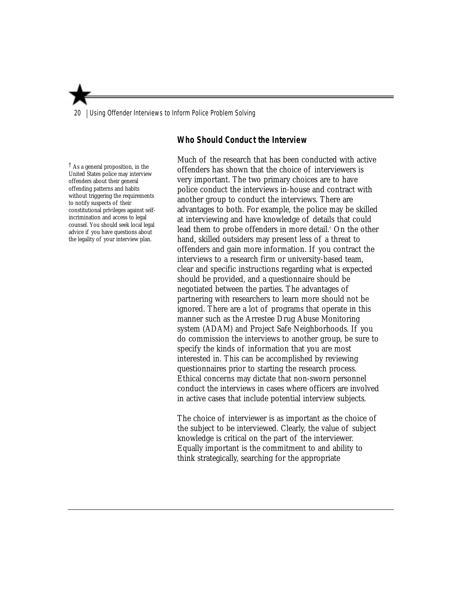$\uparrow$  As a general proposition, in the United States police may interview offenders about their general offending patterns and habits without triggering the requirements to notify suspects of their constitutional privileges against selfincrimination and access to legal counsel. You should seek local legal advice if you have questions about the legality of your interview plan.

#### **Who Should Conduct the Interview**

Much of the research that has been conducted with active offenders has shown that the choice of interviewers is very important. The two primary choices are to have police conduct the interviews in-house and contract with another group to conduct the interviews. There are advantages to both. For example, the police may be skilled at interviewing and have knowledge of details that could lead them to probe offenders in more detail.† On the other hand, skilled outsiders may present less of a threat to offenders and gain more information. If you contract the interviews to a research firm or university-based team, clear and specific instructions regarding what is expected should be provided, and a questionnaire should be negotiated between the parties. The advantages of partnering with researchers to learn more should not be ignored. There are a lot of programs that operate in this manner such as the Arrestee Drug Abuse Monitoring system (ADAM) and Project Safe Neighborhoods. If you do commission the interviews to another group, be sure to specify the kinds of information that you are most interested in. This can be accomplished by reviewing questionnaires prior to starting the research process. Ethical concerns may dictate that non-sworn personnel conduct the interviews in cases where officers are involved in active cases that include potential interview subjects.

The choice of interviewer is as important as the choice of the subject to be interviewed. Clearly, the value of subject knowledge is critical on the part of the interviewer. Equally important is the commitment to and ability to think strategically, searching for the appropriate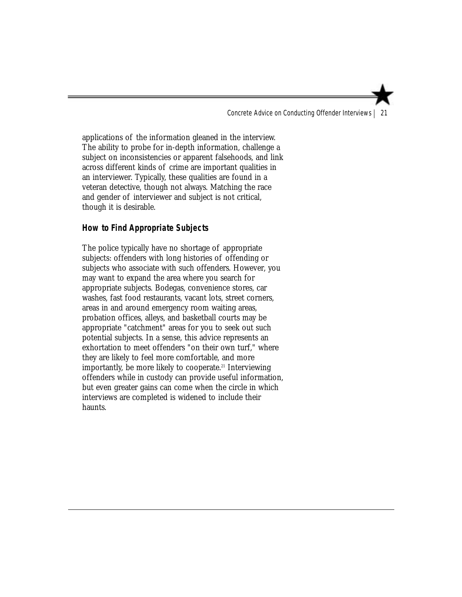Concrete Advice on Conducting Offender Interviews | 21

applications of the information gleaned in the interview. The ability to probe for in-depth information, challenge a subject on inconsistencies or apparent falsehoods, and link across different kinds of crime are important qualities in an interviewer. Typically, these qualities are found in a veteran detective, though not always. Matching the race and gender of interviewer and subject is not critical, though it is desirable.

#### **How to Find Appropriate Subjects**

The police typically have no shortage of appropriate subjects: offenders with long histories of offending or subjects who associate with such offenders. However, you may want to expand the area where you search for appropriate subjects. Bodegas, convenience stores, car washes, fast food restaurants, vacant lots, street corners, areas in and around emergency room waiting areas, probation offices, alleys, and basketball courts may be appropriate "catchment" areas for you to seek out such potential subjects. In a sense, this advice represents an exhortation to meet offenders "on their own turf," where they are likely to feel more comfortable, and more importantly, be more likely to cooperate.<sup>21</sup> Interviewing offenders while in custody can provide useful information, but even greater gains can come when the circle in which interviews are completed is widened to include their haunts.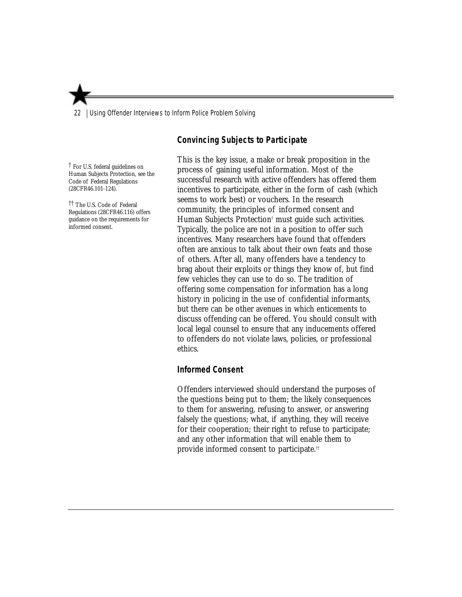† For U.S. federal guidelines on Human Subjects Protection, see the Code of Federal Regulations (28CFR46.101-124).

†† The U.S. Code of Federal Regulations (28CFR46.116) offers guidance on the requirements for informed consent.

#### **Convincing Subjects to Participate**

This is the key issue, a make or break proposition in the process of gaining useful information. Most of the successful research with active offenders has offered them incentives to participate, either in the form of cash (which seems to work best) or vouchers. In the research community, the principles of informed consent and Human Subjects Protection† must guide such activities. Typically, the police are not in a position to offer such incentives. Many researchers have found that offenders often are anxious to talk about their own feats and those of others. After all, many offenders have a tendency to brag about their exploits or things they know of, but find few vehicles they can use to do so. The tradition of offering some compensation for information has a long history in policing in the use of confidential informants, but there can be other avenues in which enticements to discuss offending can be offered. You should consult with local legal counsel to ensure that any inducements offered to offenders do not violate laws, policies, or professional ethics.

#### **Informed Consent**

Offenders interviewed should understand the purposes of the questions being put to them; the likely consequences to them for answering, refusing to answer, or answering falsely the questions; what, if anything, they will receive for their cooperation; their right to refuse to participate; and any other information that will enable them to provide informed consent to participate.††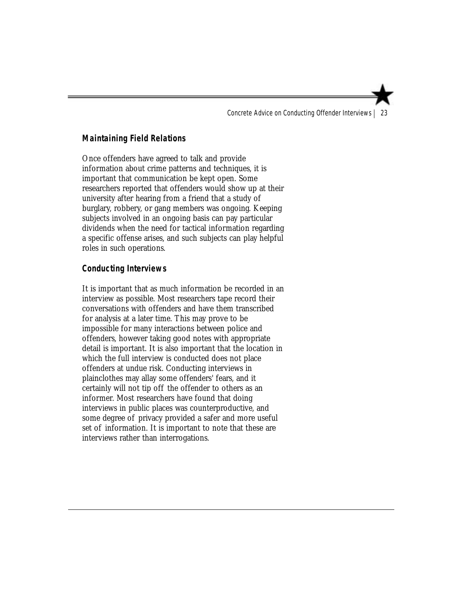Concrete Advice on Conducting Offender Interviews | 23

#### **Maintaining Field Relations**

Once offenders have agreed to talk and provide information about crime patterns and techniques, it is important that communication be kept open. Some researchers reported that offenders would show up at their university after hearing from a friend that a study of burglary, robbery, or gang members was ongoing. Keeping subjects involved in an ongoing basis can pay particular dividends when the need for tactical information regarding a specific offense arises, and such subjects can play helpful roles in such operations.

#### **Conducting Interviews**

It is important that as much information be recorded in an interview as possible. Most researchers tape record their conversations with offenders and have them transcribed for analysis at a later time. This may prove to be impossible for many interactions between police and offenders, however taking good notes with appropriate detail is important. It is also important that the location in which the full interview is conducted does not place offenders at undue risk. Conducting interviews in plainclothes may allay some offenders' fears, and it certainly will not tip off the offender to others as an informer. Most researchers have found that doing interviews in public places was counterproductive, and some degree of privacy provided a safer and more useful set of information. It is important to note that these are interviews rather than interrogations.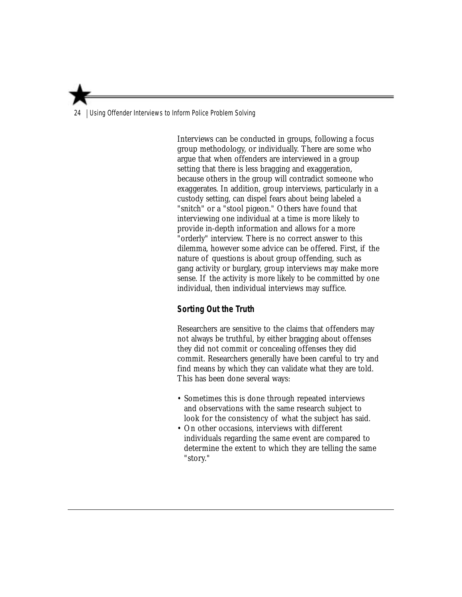Interviews can be conducted in groups, following a focus group methodology, or individually. There are some who argue that when offenders are interviewed in a group setting that there is less bragging and exaggeration, because others in the group will contradict someone who exaggerates. In addition, group interviews, particularly in a custody setting, can dispel fears about being labeled a "snitch" or a "stool pigeon." Others have found that interviewing one individual at a time is more likely to provide in-depth information and allows for a more "orderly" interview. There is no correct answer to this dilemma, however some advice can be offered. First, if the nature of questions is about group offending, such as gang activity or burglary, group interviews may make more sense. If the activity is more likely to be committed by one individual, then individual interviews may suffice.

#### **Sorting Out the Truth**

Researchers are sensitive to the claims that offenders may not always be truthful, by either bragging about offenses they did not commit or concealing offenses they did commit. Researchers generally have been careful to try and find means by which they can validate what they are told. This has been done several ways:

- Sometimes this is done through repeated interviews and observations with the same research subject to look for the consistency of what the subject has said.
- On other occasions, interviews with different individuals regarding the same event are compared to determine the extent to which they are telling the same "story."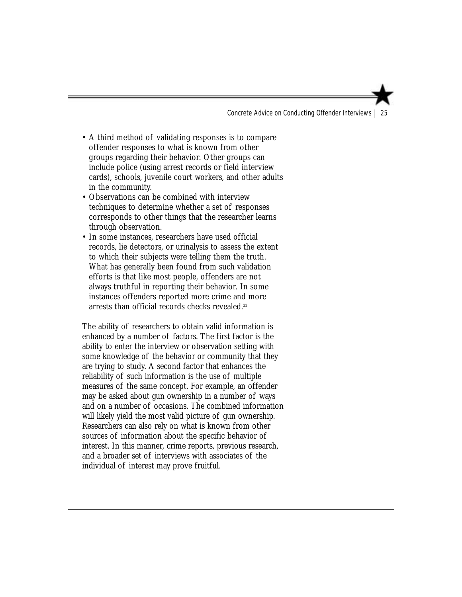Concrete Advice on Conducting Offender Interviews | 25

- A third method of validating responses is to compare offender responses to what is known from other groups regarding their behavior. Other groups can include police (using arrest records or field interview cards), schools, juvenile court workers, and other adults in the community.
- Observations can be combined with interview techniques to determine whether a set of responses corresponds to other things that the researcher learns through observation.
- In some instances, researchers have used official records, lie detectors, or urinalysis to assess the extent to which their subjects were telling them the truth. What has generally been found from such validation efforts is that like most people, offenders are not always truthful in reporting their behavior. In some instances offenders reported more crime and more arrests than official records checks revealed.<sup>22</sup>

The ability of researchers to obtain valid information is enhanced by a number of factors. The first factor is the ability to enter the interview or observation setting with some knowledge of the behavior or community that they are trying to study. A second factor that enhances the reliability of such information is the use of multiple measures of the same concept. For example, an offender may be asked about gun ownership in a number of ways and on a number of occasions. The combined information will likely yield the most valid picture of gun ownership. Researchers can also rely on what is known from other sources of information about the specific behavior of interest. In this manner, crime reports, previous research, and a broader set of interviews with associates of the individual of interest may prove fruitful.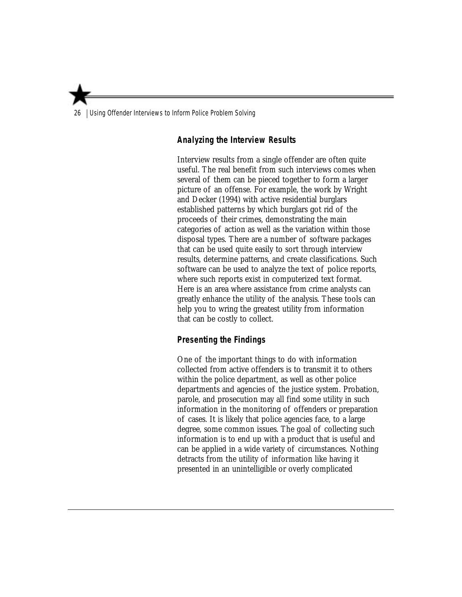#### **Analyzing the Interview Results**

Interview results from a single offender are often quite useful. The real benefit from such interviews comes when several of them can be pieced together to form a larger picture of an offense. For example, the work by Wright and Decker (1994) with active residential burglars established patterns by which burglars got rid of the proceeds of their crimes, demonstrating the main categories of action as well as the variation within those disposal types. There are a number of software packages that can be used quite easily to sort through interview results, determine patterns, and create classifications. Such software can be used to analyze the text of police reports, where such reports exist in computerized text format. Here is an area where assistance from crime analysts can greatly enhance the utility of the analysis. These tools can help you to wring the greatest utility from information that can be costly to collect.

#### **Presenting the Findings**

One of the important things to do with information collected from active offenders is to transmit it to others within the police department, as well as other police departments and agencies of the justice system. Probation, parole, and prosecution may all find some utility in such information in the monitoring of offenders or preparation of cases. It is likely that police agencies face, to a large degree, some common issues. The goal of collecting such information is to end up with a product that is useful and can be applied in a wide variety of circumstances. Nothing detracts from the utility of information like having it presented in an unintelligible or overly complicated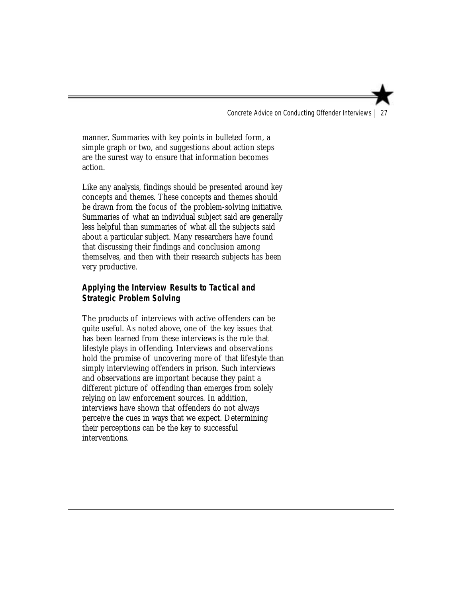Concrete Advice on Conducting Offender Interviews | 27

manner. Summaries with key points in bulleted form, a simple graph or two, and suggestions about action steps are the surest way to ensure that information becomes action.

Like any analysis, findings should be presented around key concepts and themes. These concepts and themes should be drawn from the focus of the problem-solving initiative. Summaries of what an individual subject said are generally less helpful than summaries of what all the subjects said about a particular subject. Many researchers have found that discussing their findings and conclusion among themselves, and then with their research subjects has been very productive.

#### **Applying the Interview Results to Tactical and Strategic Problem Solving**

The products of interviews with active offenders can be quite useful. As noted above, one of the key issues that has been learned from these interviews is the role that lifestyle plays in offending. Interviews and observations hold the promise of uncovering more of that lifestyle than simply interviewing offenders in prison. Such interviews and observations are important because they paint a different picture of offending than emerges from solely relying on law enforcement sources. In addition, interviews have shown that offenders do not always perceive the cues in ways that we expect. Determining their perceptions can be the key to successful interventions.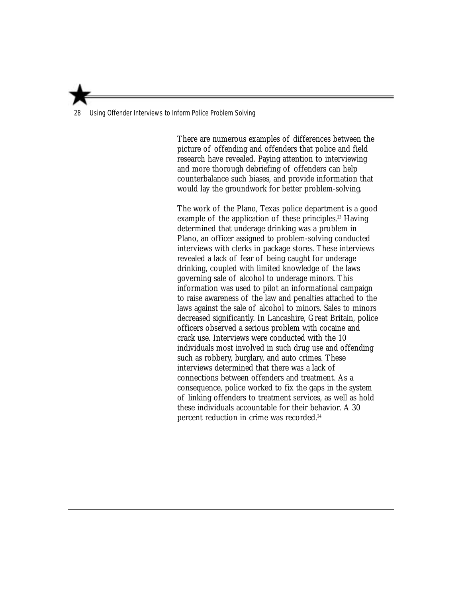There are numerous examples of differences between the picture of offending and offenders that police and field research have revealed. Paying attention to interviewing and more thorough debriefing of offenders can help counterbalance such biases, and provide information that would lay the groundwork for better problem-solving.

The work of the Plano, Texas police department is a good example of the application of these principles.<sup>23</sup> Having determined that underage drinking was a problem in Plano, an officer assigned to problem-solving conducted interviews with clerks in package stores. These interviews revealed a lack of fear of being caught for underage drinking, coupled with limited knowledge of the laws governing sale of alcohol to underage minors. This information was used to pilot an informational campaign to raise awareness of the law and penalties attached to the laws against the sale of alcohol to minors. Sales to minors decreased significantly. In Lancashire, Great Britain, police officers observed a serious problem with cocaine and crack use. Interviews were conducted with the 10 individuals most involved in such drug use and offending such as robbery, burglary, and auto crimes. These interviews determined that there was a lack of connections between offenders and treatment. As a consequence, police worked to fix the gaps in the system of linking offenders to treatment services, as well as hold these individuals accountable for their behavior. A 30 percent reduction in crime was recorded.<sup>24</sup>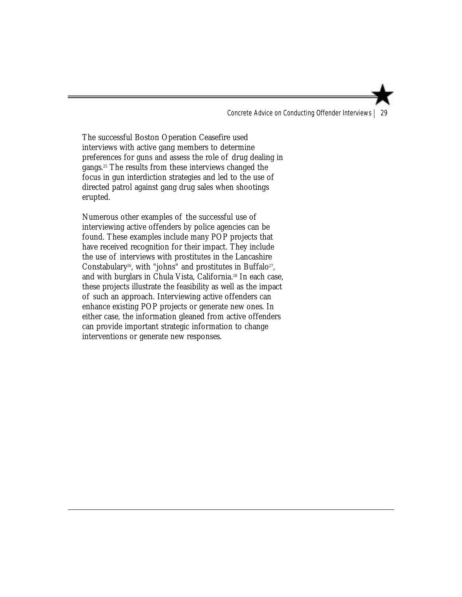Concrete Advice on Conducting Offender Interviews | 29

The successful Boston Operation Ceasefire used interviews with active gang members to determine preferences for guns and assess the role of drug dealing in gangs.25 The results from these interviews changed the focus in gun interdiction strategies and led to the use of directed patrol against gang drug sales when shootings erupted.

Numerous other examples of the successful use of interviewing active offenders by police agencies can be found. These examples include many POP projects that have received recognition for their impact. They include the use of interviews with prostitutes in the Lancashire Constabulary<sup>26</sup>, with "johns" and prostitutes in Buffalo<sup>27</sup>, and with burglars in Chula Vista, California.<sup>28</sup> In each case, these projects illustrate the feasibility as well as the impact of such an approach. Interviewing active offenders can enhance existing POP projects or generate new ones. In either case, the information gleaned from active offenders can provide important strategic information to change interventions or generate new responses.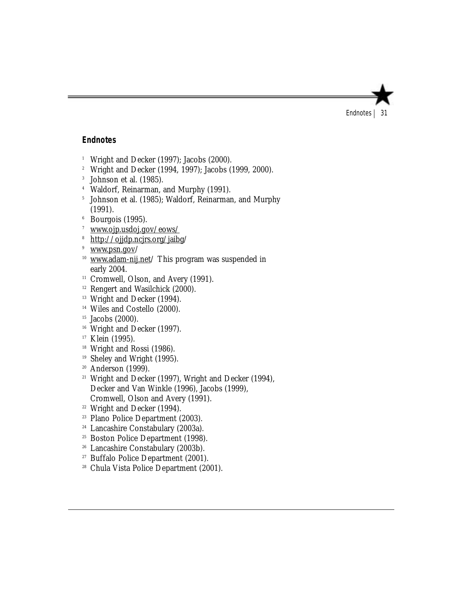Endnotes | 31

#### **Endnotes**

- <sup>1</sup> Wright and Decker (1997); Jacobs (2000).
- 2 Wright and Decker (1994, 1997); Jacobs (1999, 2000).
- <sup>3</sup> Johnson et al. (1985).
- 4 Waldorf, Reinarman, and Murphy (1991).
- 5 Johnson et al. (1985); Waldorf, Reinarman, and Murphy (1991).<br>
6 Bourgois (1995).<br>
7 <u>www.ojp.usdoj.gov/eows/<br>
8 http://ojjdp.ncjrs.org/jaibg</u>/<br>
9 www.psn.gov/
- 
- 
- 
- 
- <sup>10</sup> www.adam-nij.net/ This program was suspended in
- early 2004.<br><sup>11</sup> Cromwell, Olson, and Avery (1991).<br><sup>12</sup> Rengert and Wasilchick (2000).<br><sup>13</sup> Wright and Decker (1994).<br><sup>14</sup> Wiles and Costello (2000).
- 
- 
- 
- $15$  Jacobs (2000).
- <sup>16</sup> Wright and Decker (1997).<br><sup>17</sup> Klein (1995).<br><sup>18</sup> Wright and Rossi (1986).<br><sup>19</sup> Sheley and Wright (1995).
- 
- 
- 
- <sup>20</sup> Anderson (1999).
- <sup>21</sup> Wright and Decker (1997), Wright and Decker (1994), Decker and Van Winkle (1996), Jacobs (1999),
- 
- Cromwell, Olson and Avery (1991).<br><sup>22</sup> Wright and Decker (1994).<br><sup>23</sup> Plano Police Department (2003).<br><sup>24</sup> Lancashire Constabulary (2003a).
- 
- <sup>25</sup> Boston Police Department (1998).
- 
- <sup>26</sup> Lancashire Constabulary (2003b).<br><sup>27</sup> Buffalo Police Department (2001).<br><sup>28</sup> Chula Vista Police Department (2001).
-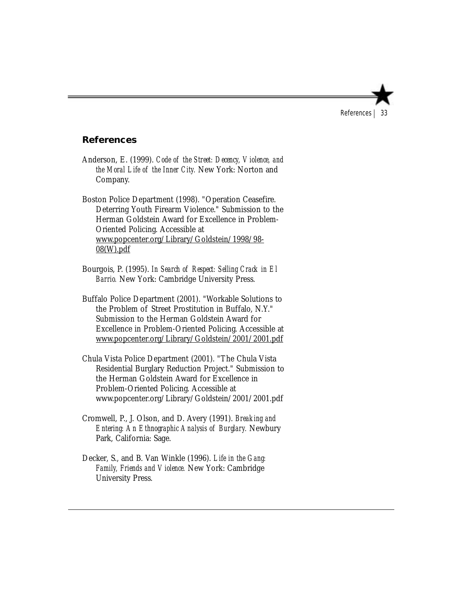References | 33

#### **References**

- Anderson, E. (1999). *Code of the Street: Decency, Violence, and the Moral Life of the Inner City.* New York: Norton and Company.
- Boston Police Department (1998). "Operation Ceasefire. Deterring Youth Firearm Violence." Submission to the Herman Goldstein Award for Excellence in Problem-Oriented Policing. Accessible at www.popcenter.org/Library/Goldstein/1998/98- 08(W).pdf
- Bourgois, P. (1995). *In Search of Respect: Selling Crack in El Barrio.* New York: Cambridge University Press.
- Buffalo Police Department (2001). "Workable Solutions to the Problem of Street Prostitution in Buffalo, N.Y." Submission to the Herman Goldstein Award for Excellence in Problem-Oriented Policing. Accessible at www.popcenter.org/Library/Goldstein/2001/2001.pdf
- Chula Vista Police Department (2001). "The Chula Vista Residential Burglary Reduction Project." Submission to the Herman Goldstein Award for Excellence in Problem-Oriented Policing. Accessible at www.popcenter.org/Library/Goldstein/2001/2001.pdf
- Cromwell, P., J. Olson, and D. Avery (1991). *Breaking and Entering: An Ethnographic Analysis of Burglary.* Newbury Park, California: Sage.
- Decker, S., and B. Van Winkle (1996). *Life in the Gang: Family, Friends and Violence.* New York: Cambridge University Press.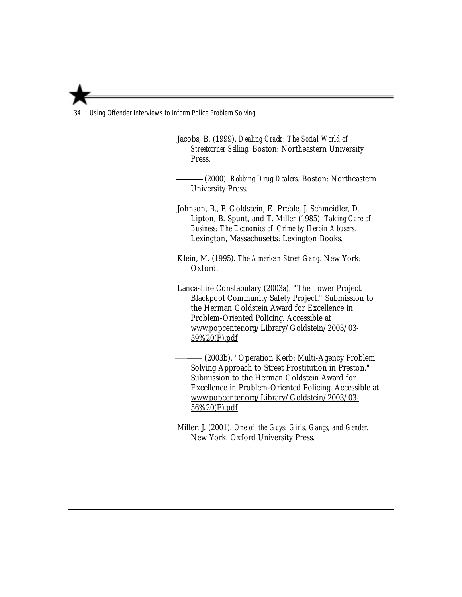- Jacobs, B. (1999). *Dealing Crack: The Social World of Streetcorner Selling.* Boston: Northeastern University **Press** 
	- (2000). *Robbing Drug Dealers.* Boston: Northeastern University Press.
- Johnson, B., P. Goldstein, E. Preble, J. Schmeidler, D. Lipton, B. Spunt, and T. Miller (1985). *Taking Care of Business: The Economics of Crime by Heroin Abusers.*  Lexington, Massachusetts: Lexington Books.
- Klein, M. (1995). *The American Street Gang.* New York: Oxford.
- Lancashire Constabulary (2003a). "The Tower Project. Blackpool Community Safety Project." Submission to the Herman Goldstein Award for Excellence in Problem-Oriented Policing. Accessible at www.popcenter.org/Library/Goldstein/2003/03- 59%20(F).pdf
- (2003b). "Operation Kerb: Multi-Agency Problem Solving Approach to Street Prostitution in Preston." Submission to the Herman Goldstein Award for Excellence in Problem-Oriented Policing. Accessible at www.popcenter.org/Library/Goldstein/2003/03- 56%20(F).pdf
- Miller, J. (2001). *One of the Guys: Girls, Gangs, and Gender.*  New York: Oxford University Press.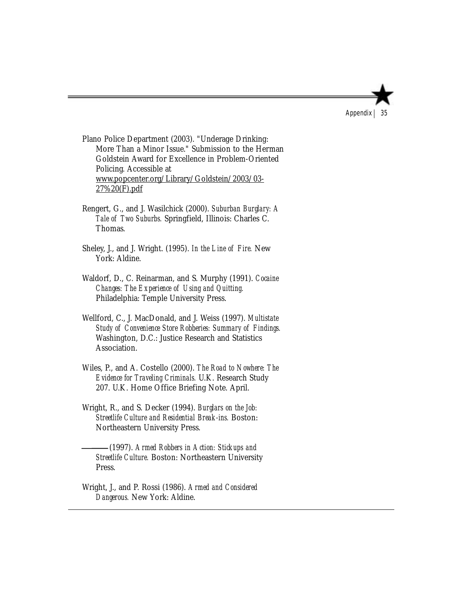Appendix | 35

Plano Police Department (2003). "Underage Drinking: More Than a Minor Issue." Submission to the Herman Goldstein Award for Excellence in Problem-Oriented Policing. Accessible at www.popcenter.org/Library/Goldstein/2003/03- 27%20(F).pdf

- Rengert, G., and J. Wasilchick (2000). *Suburban Burglary: A Tale of Two Suburbs.* Springfield, Illinois: Charles C. Thomas.
- Sheley, J., and J. Wright. (1995). *In the Line of Fire.* New York: Aldine.
- Waldorf, D., C. Reinarman, and S. Murphy (1991). *Cocaine Changes: The Experience of Using and Quitting.*  Philadelphia: Temple University Press.
- Wellford, C., J. MacDonald, and J. Weiss (1997). *Multistate Study of Convenience Store Robberies: Summary of Findings.*  Washington, D.C.: Justice Research and Statistics Association.
- Wiles, P., and A. Costello (2000). *The Road to Nowhere: The Evidence for Traveling Criminals.* U.K. Research Study 207. U.K. Home Office Briefing Note. April.
- Wright, R., and S. Decker (1994). *Burglars on the Job: Streetlife Culture and Residential Break-ins.* Boston: Northeastern University Press.
	- (1997). *Armed Robbers in Action: Stickups and Streetlife Culture.* Boston: Northeastern University Press.
- Wright, J., and P. Rossi (1986). *Armed and Considered Dangerous.* New York: Aldine.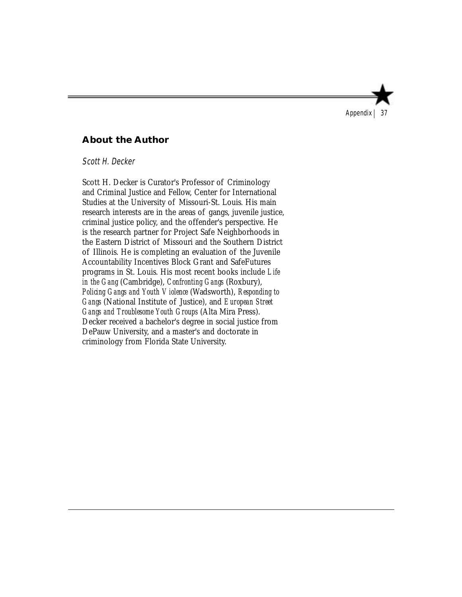Appendix | 37

#### **About the Author**

Scott H. Decker

Scott H. Decker is Curator's Professor of Criminology and Criminal Justice and Fellow, Center for International Studies at the University of Missouri-St. Louis. His main research interests are in the areas of gangs, juvenile justice, criminal justice policy, and the offender's perspective. He is the research partner for Project Safe Neighborhoods in the Eastern District of Missouri and the Southern District of Illinois. He is completing an evaluation of the Juvenile Accountability Incentives Block Grant and SafeFutures programs in St. Louis. His most recent books include *Life in the Gang* (Cambridge), *Confronting Gangs* (Roxbury), *Policing Gangs and Youth Violence* (Wadsworth), *Responding to Gangs* (National Institute of Justice), and *European Street Gangs and Troublesome Youth Groups* (Alta Mira Press). Decker received a bachelor's degree in social justice from DePauw University, and a master's and doctorate in criminology from Florida State University.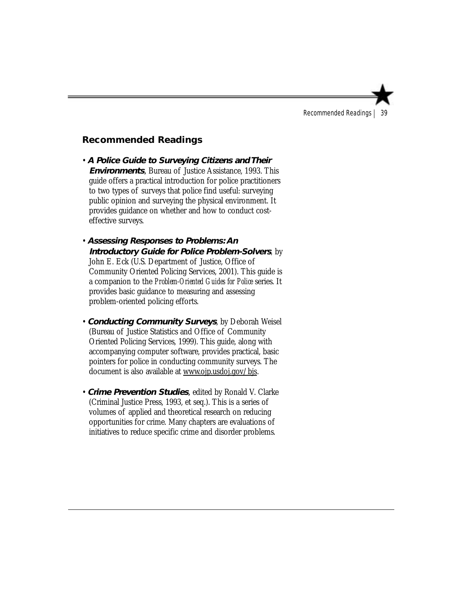#### **Recommended Readings**

- **A Police Guide to Surveying Citizens and Their Environments**, Bureau of Justice Assistance, 1993. This guide offers a practical introduction for police practitioners to two types of surveys that police find useful: surveying public opinion and surveying the physical environment. It provides guidance on whether and how to conduct costeffective surveys.
- **Assessing Responses to Problems: An Introductory Guide for Police Problem-Solvers**, by John E. Eck (U.S. Department of Justice, Office of Community Oriented Policing Services, 2001). This guide is a companion to the *Problem-Oriented Guides for Police* series. It provides basic guidance to measuring and assessing problem-oriented policing efforts.
- **Conducting Community Surveys**, by Deborah Weisel (Bureau of Justice Statistics and Office of Community Oriented Policing Services, 1999). This guide, along with accompanying computer software, provides practical, basic pointers for police in conducting community surveys. The document is also available at www.ojp.usdoj.gov/bjs.
- **Crime Prevention Studies**, edited by Ronald V. Clarke (Criminal Justice Press, 1993, et seq.). This is a series of volumes of applied and theoretical research on reducing opportunities for crime. Many chapters are evaluations of initiatives to reduce specific crime and disorder problems.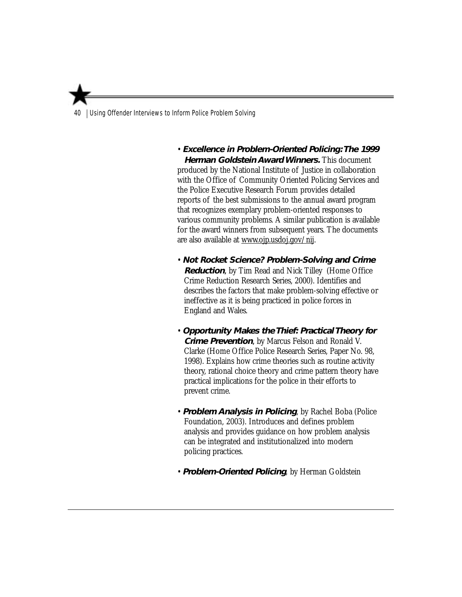- **Excellence in Problem-Oriented Policing: The 1999 Herman Goldstein Award Winners.** This document produced by the National Institute of Justice in collaboration with the Office of Community Oriented Policing Services and the Police Executive Research Forum provides detailed reports of the best submissions to the annual award program that recognizes exemplary problem-oriented responses to various community problems. A similar publication is available for the award winners from subsequent years. The documents are also available at www.ojp.usdoj.gov/nij.
- **Not Rocket Science? Problem-Solving and Crime Reduction**, by Tim Read and Nick Tilley (Home Office Crime Reduction Research Series, 2000). Identifies and describes the factors that make problem-solving effective or ineffective as it is being practiced in police forces in England and Wales.
- **Opportunity Makes the Thief: Practical Theory for Crime Prevention**, by Marcus Felson and Ronald V. Clarke (Home Office Police Research Series, Paper No. 98, 1998). Explains how crime theories such as routine activity theory, rational choice theory and crime pattern theory have practical implications for the police in their efforts to prevent crime.
- **Problem Analysis in Policing**, by Rachel Boba (Police Foundation, 2003). Introduces and defines problem analysis and provides guidance on how problem analysis can be integrated and institutionalized into modern policing practices.
- **Problem-Oriented Policing**, by Herman Goldstein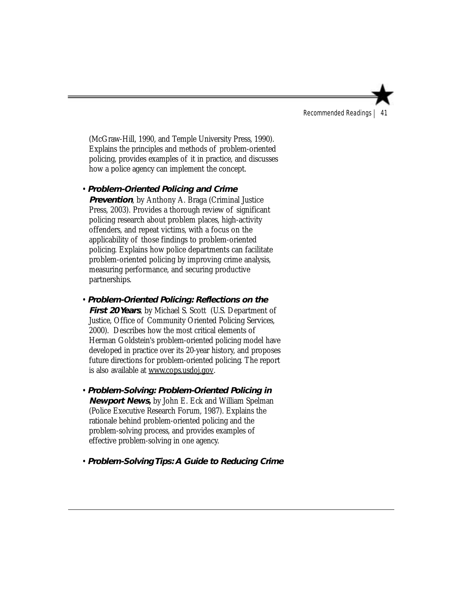Recommended Readings |

(McGraw-Hill, 1990, and Temple University Press, 1990). Explains the principles and methods of problem-oriented policing, provides examples of it in practice, and discusses how a police agency can implement the concept.

• **Problem-Oriented Policing and Crime Prevention**, by Anthony A. Braga (Criminal Justice Press, 2003). Provides a thorough review of significant policing research about problem places, high-activity offenders, and repeat victims, with a focus on the applicability of those findings to problem-oriented policing. Explains how police departments can facilitate problem-oriented policing by improving crime analysis, measuring performance, and securing productive partnerships.

- **Problem-Oriented Policing: Reflections on the First 20 Years**, by Michael S. Scott (U.S. Department of Justice, Office of Community Oriented Policing Services, 2000). Describes how the most critical elements of Herman Goldstein's problem-oriented policing model have developed in practice over its 20-year history, and proposes future directions for problem-oriented policing. The report is also available at www.cops.usdoj.gov.
- **Problem-Solving: Problem-Oriented Policing in Newport News,** by John E. Eck and William Spelman (Police Executive Research Forum, 1987). Explains the rationale behind problem-oriented policing and the problem-solving process, and provides examples of effective problem-solving in one agency.
- **Problem-Solving Tips: A Guide to Reducing Crime**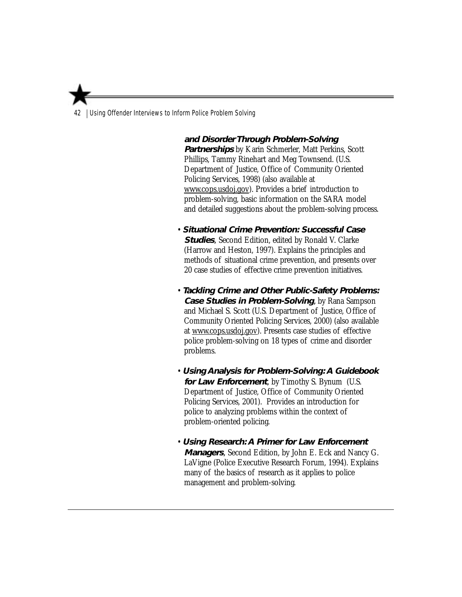**and Disorder Through Problem-Solving Partnerships** by Karin Schmerler, Matt Perkins, Scott Phillips, Tammy Rinehart and Meg Townsend. (U.S. Department of Justice, Office of Community Oriented Policing Services, 1998) (also available at www.cops.usdoj.gov). Provides a brief introduction to problem-solving, basic information on the SARA model and detailed suggestions about the problem-solving process.

- **Situational Crime Prevention: Successful Case Studies**, Second Edition, edited by Ronald V. Clarke (Harrow and Heston, 1997). Explains the principles and methods of situational crime prevention, and presents over 20 case studies of effective crime prevention initiatives.
- **Tackling Crime and Other Public-Safety Problems: Case Studies in Problem-Solving**, by Rana Sampson and Michael S. Scott (U.S. Department of Justice, Office of Community Oriented Policing Services, 2000) (also available at www.cops.usdoj.gov). Presents case studies of effective police problem-solving on 18 types of crime and disorder problems.
- **Using Analysis for Problem-Solving: A Guidebook for Law Enforcement**, by Timothy S. Bynum (U.S. Department of Justice, Office of Community Oriented Policing Services, 2001). Provides an introduction for police to analyzing problems within the context of problem-oriented policing.
- **Using Research: A Primer for Law Enforcement Managers**, Second Edition, by John E. Eck and Nancy G. LaVigne (Police Executive Research Forum, 1994). Explains many of the basics of research as it applies to police management and problem-solving.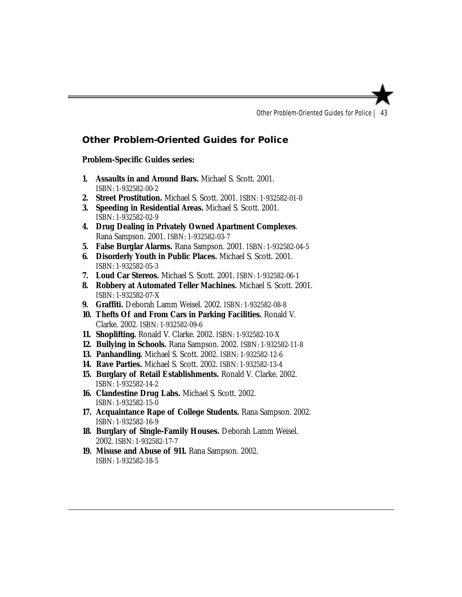Other Problem-Oriented Guides for Police | 43

#### **Other Problem-Oriented Guides for Police**

#### **Problem-Specific Guides series:**

- **1. Assaults in and Around Bars.** Michael S. Scott. 2001. ISBN: 1-932582-00-2
- **2. Street Prostitution.** Michael S. Scott. 2001. ISBN: 1-932582-01-0
- **3. Speeding in Residential Areas.** Michael S. Scott. 2001. ISBN: 1-932582-02-9
- **4. Drug Dealing in Privately Owned Apartment Complexes**. Rana Sampson. 2001. ISBN: 1-932582-03-7
- **5. False Burglar Alarms.** Rana Sampson. 2001. ISBN: 1-932582-04-5
- **6. Disorderly Youth in Public Places.** Michael S. Scott. 2001. ISBN: 1-932582-05-3
- **7. Loud Car Stereos.** Michael S. Scott. 2001. ISBN: 1-932582-06-1
- **8. Robbery at Automated Teller Machines.** Michael S. Scott. 2001. ISBN: 1-932582-07-X
- **9. Graffiti.** Deborah Lamm Weisel. 2002. ISBN: 1-932582-08-8
- **10. Thefts Of and From Cars in Parking Facilities.** Ronald V. Clarke. 2002. ISBN: 1-932582-09-6
- **11. Shoplifting.** Ronald V. Clarke. 2002. ISBN: 1-932582-10-X
- **12. Bullying in Schools.** Rana Sampson. 2002. ISBN: 1-932582-11-8
- **13. Panhandling.** Michael S. Scott. 2002. ISBN: 1-932582-12-6
- **14. Rave Parties.** Michael S. Scott. 2002. ISBN: 1-932582-13-4
- **15. Burglary of Retail Establishments.** Ronald V. Clarke. 2002. ISBN: 1-932582-14-2
- **16. Clandestine Drug Labs.** Michael S. Scott. 2002. ISBN: 1-932582-15-0
- **17. Acquaintance Rape of College Students.** Rana Sampson. 2002. ISBN: 1-932582-16-9
- **18. Burglary of Single-Family Houses.** Deborah Lamm Weisel. 2002. ISBN: 1-932582-17-7
- **19. Misuse and Abuse of 911.** Rana Sampson. 2002. ISBN: 1-932582-18-5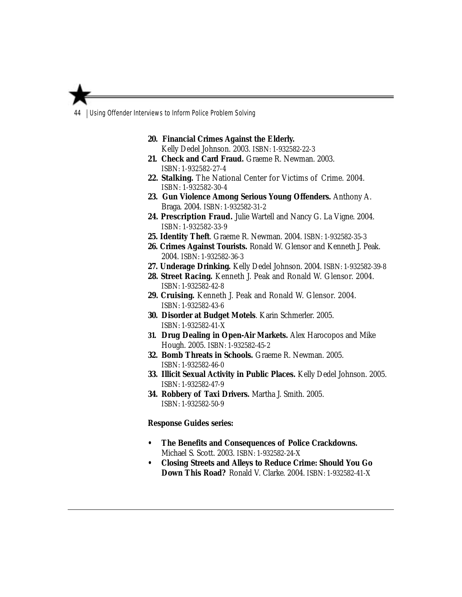- **20. Financial Crimes Against the Elderly.**  Kelly Dedel Johnson. 2003. ISBN: 1-932582-22-3
- **21. Check and Card Fraud.** Graeme R. Newman. 2003. ISBN: 1-932582-27-4
- **22. Stalking.** The National Center for Victims of Crime. 2004. ISBN: 1-932582-30-4
- **23. Gun Violence Among Serious Young Offenders.** Anthony A. Braga. 2004. ISBN: 1-932582-31-2
- **24. Prescription Fraud.** Julie Wartell and Nancy G. La Vigne. 2004. ISBN: 1-932582-33-9
- **25. Identity Theft**. Graeme R. Newman. 2004. ISBN: 1-932582-35-3
- **26. Crimes Against Tourists.** Ronald W. Glensor and Kenneth J. Peak. 2004. ISBN: 1-932582-36-3
- **27. Underage Drinking.** Kelly Dedel Johnson. 2004. ISBN: 1-932582-39-8
- **28. Street Racing.** Kenneth J. Peak and Ronald W. Glensor. 2004. ISBN: 1-932582-42-8
- **29. Cruising.** Kenneth J. Peak and Ronald W. Glensor. 2004. ISBN: 1-932582-43-6
- **30. Disorder at Budget Motels**. Karin Schmerler. 2005. ISBN: 1-932582-41-X
- **31. Drug Dealing in Open-Air Markets.** Alex Harocopos and Mike Hough. 2005. ISBN: 1-932582-45-2
- **32. Bomb Threats in Schools.** Graeme R. Newman. 2005. ISBN: 1-932582-46-0
- **33. Illicit Sexual Activity in Public Places.** Kelly Dedel Johnson. 2005. ISBN: 1-932582-47-9
- **34. Robbery of Taxi Drivers.** Martha J. Smith. 2005. ISBN: 1-932582-50-9

#### **Response Guides series:**

- **The Benefits and Consequences of Police Crackdowns.**  Michael S. Scott. 2003. ISBN: 1-932582-24-X
- **Closing Streets and Alleys to Reduce Crime: Should You Go Down This Road?** Ronald V. Clarke. 2004. ISBN: 1-932582-41-X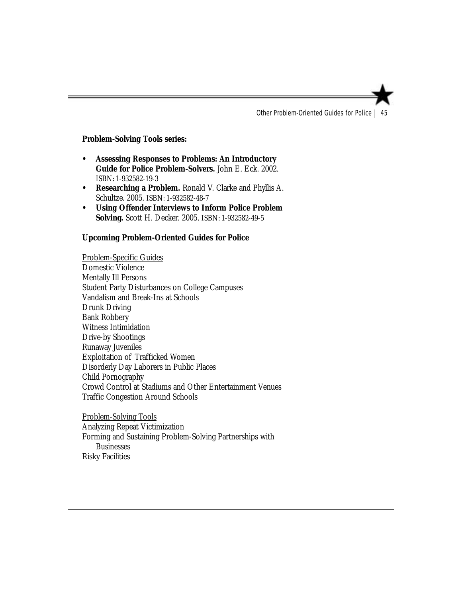Other Problem-Oriented Guides for Police | 45

#### **Problem-Solving Tools series:**

- **Assessing Responses to Problems: An Introductory Guide for Police Problem-Solvers.** John E. Eck. 2002. ISBN: 1-932582-19-3
- **Researching a Problem.** Ronald V. Clarke and Phyllis A. Schultze. 2005. ISBN: 1-932582-48-7
- **Using Offender Interviews to Inform Police Problem Solving.** Scott H. Decker. 2005. ISBN: 1-932582-49-5

#### **Upcoming Problem-Oriented Guides for Police**

Problem-Specific Guides Domestic Violence Mentally Ill Persons Student Party Disturbances on College Campuses Vandalism and Break-Ins at Schools Drunk Driving Bank Robbery Witness Intimidation Drive-by Shootings Runaway Juveniles Exploitation of Trafficked Women Disorderly Day Laborers in Public Places Child Pornography Crowd Control at Stadiums and Other Entertainment Venues Traffic Congestion Around Schools

Problem-Solving Tools Analyzing Repeat Victimization Forming and Sustaining Problem-Solving Partnerships with **Businesses** Risky Facilities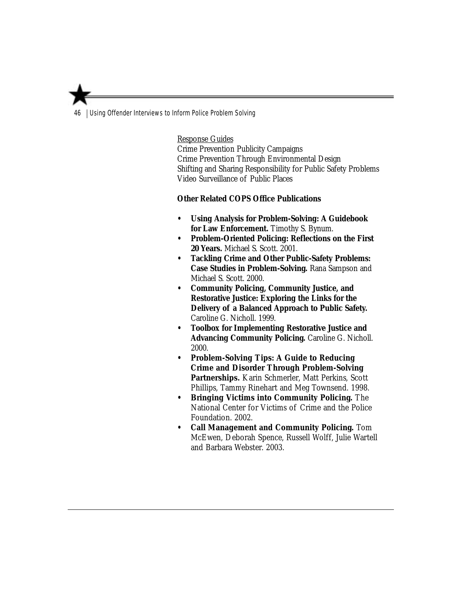#### Response Guides

Crime Prevention Publicity Campaigns Crime Prevention Through Environmental Design Shifting and Sharing Responsibility for Public Safety Problems Video Surveillance of Public Places

#### **Other Related COPS Office Publications**

- **Using Analysis for Problem-Solving: A Guidebook for Law Enforcement.** Timothy S. Bynum.
- **Problem-Oriented Policing: Reflections on the First 20 Years.** Michael S. Scott. 2001.
- **Tackling Crime and Other Public-Safety Problems: Case Studies in Problem-Solving.** Rana Sampson and Michael S. Scott. 2000.
- **Community Policing, Community Justice, and Restorative Justice: Exploring the Links for the Delivery of a Balanced Approach to Public Safety.**  Caroline G. Nicholl. 1999.
- **Toolbox for Implementing Restorative Justice and Advancing Community Policing.** Caroline G. Nicholl. 2000.
- **• Problem-Solving Tips: A Guide to Reducing Crime and Disorder Through Problem-Solving Partnerships.** Karin Schmerler, Matt Perkins, Scott Phillips, Tammy Rinehart and Meg Townsend. 1998.
- **Bringing Victims into Community Policing.** The National Center for Victims of Crime and the Police Foundation. 2002.
- **• Call Management and Community Policing.** Tom McEwen, Deborah Spence, Russell Wolff, Julie Wartell and Barbara Webster. 2003.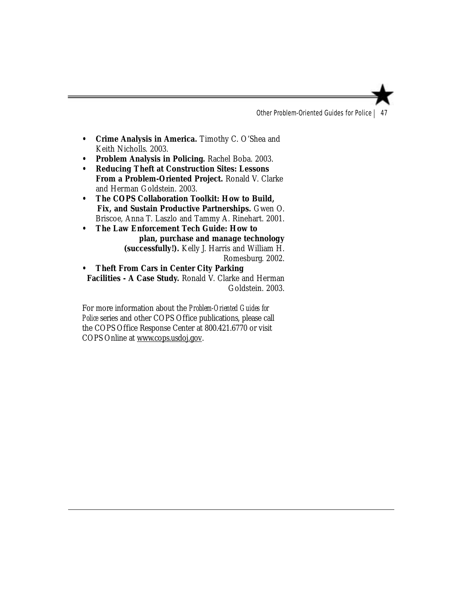Other Problem-Oriented Guides for Police | 47

- **• Crime Analysis in America.** Timothy C. O'Shea and Keith Nicholls. 2003.
- **Problem Analysis in Policing.** Rachel Boba. 2003.
- **Reducing Theft at Construction Sites: Lessons From a Problem-Oriented Project.** Ronald V. Clarke and Herman Goldstein. 2003.
- **• The COPS Collaboration Toolkit: How to Build, Fix, and Sustain Productive Partnerships.** Gwen O. Briscoe, Anna T. Laszlo and Tammy A. Rinehart. 2001.
- **• The Law Enforcement Tech Guide: How to plan, purchase and manage technology (successfully!).** Kelly J. Harris and William H. Romesburg. 2002.
- **• Theft From Cars in Center City Parking Facilities - A Case Study.** Ronald V. Clarke and Herman Goldstein. 2003.

For more information about the *Problem-Oriented Guides for Police* series and other COPS Office publications, please call the COPS Office Response Center at 800.421.6770 or visit COPS Online at www.cops.usdoj.gov.